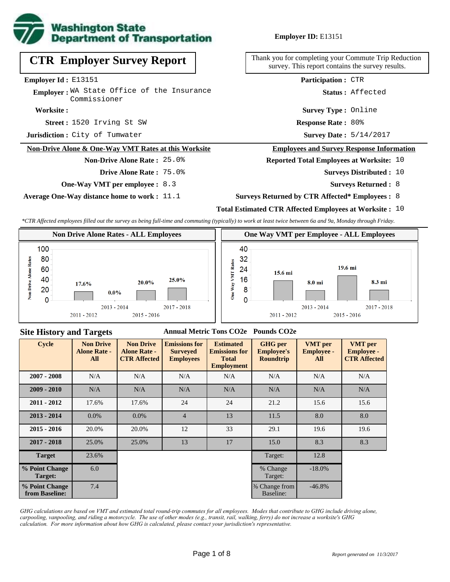

**CTR Employer Survey Report**

Employer: WA State Office of the Insurance

**Non-Drive Alone & One-Way VMT Rates at this Worksite**

**One-Way VMT per employee :** 8.3

**Average One-Way distance home to work :** 11.1

**Non-Drive Alone Rate :** 25.0%

**Drive Alone Rate :** 75.0%

### **Employer ID:** E13151

Thank you for completing your Commute Trip Reduction survey. This report contains the survey results.

**Participation :** CTR

**Status :** Affected

**Survey Type :** Online

**Street :** 1520 Irving St SW **Response Rate : Response Rate: 80%** 

Survey Date:  $5/14/2017$ 

#### **Employees and Survey Response Information**

### **Reported Total Employees at Worksite:** 10

- Surveys Distributed : 10
	- **Surveys Returned :** 8
- **Surveys Returned by CTR Affected\* Employees :** 8

## **Total Estimated CTR Affected Employees at Worksite :** 10

*\*CTR Affected employees filled out the survey as being full-time and commuting (typically) to work at least twice between 6a and 9a, Monday through Friday.*



### **Site History and Targets**

**Worksite :**

**Employer Id :** E13151

**Jurisdiction :** City of Tumwater

Commissioner

### **Annual Metric Tons CO2e Pounds CO2e**

| <b>Cycle</b>                     | <b>Non Drive</b><br><b>Alone Rate -</b><br>All | <b>Non Drive</b><br><b>Alone Rate -</b><br><b>CTR Affected</b> | <b>Emissions for</b><br><b>Surveyed</b><br><b>Employees</b> | <b>Estimated</b><br><b>Emissions for</b><br><b>Total</b><br><b>Employment</b> | <b>GHG</b> per<br><b>Employee's</b><br><b>Roundtrip</b> | <b>VMT</b> per<br><b>Employee -</b><br>All | <b>VMT</b> per<br><b>Employee -</b><br><b>CTR Affected</b> |
|----------------------------------|------------------------------------------------|----------------------------------------------------------------|-------------------------------------------------------------|-------------------------------------------------------------------------------|---------------------------------------------------------|--------------------------------------------|------------------------------------------------------------|
| $2007 - 2008$                    | N/A                                            | N/A                                                            | N/A                                                         | N/A                                                                           | N/A                                                     | N/A                                        | N/A                                                        |
| $2009 - 2010$                    | N/A                                            | N/A                                                            | N/A                                                         | N/A                                                                           | N/A                                                     | N/A                                        | N/A                                                        |
| $2011 - 2012$                    | 17.6%                                          | 17.6%                                                          | 24                                                          | 24                                                                            | 21.2                                                    | 15.6                                       | 15.6                                                       |
| $2013 - 2014$                    | $0.0\%$                                        | $0.0\%$                                                        | $\overline{4}$                                              | 13                                                                            | 11.5                                                    | 8.0                                        | 8.0                                                        |
| $2015 - 2016$                    | 20.0%                                          | 20.0%                                                          | 12                                                          | 33                                                                            | 29.1                                                    | 19.6                                       | 19.6                                                       |
| $2017 - 2018$                    | 25.0%                                          | 25.0%                                                          | 13                                                          | 17                                                                            | 15.0                                                    | 8.3                                        | 8.3                                                        |
| <b>Target</b>                    | 23.6%                                          |                                                                |                                                             |                                                                               | Target:                                                 | 12.8                                       |                                                            |
| % Point Change<br>Target:        | 6.0                                            |                                                                |                                                             |                                                                               | % Change<br>Target:                                     | $-18.0%$                                   |                                                            |
| % Point Change<br>from Baseline: | 7.4                                            |                                                                |                                                             |                                                                               | % Change from<br>Baseline:                              | $-46.8%$                                   |                                                            |

*GHG calculations are based on VMT and estimated total round-trip commutes for all employees. Modes that contribute to GHG include driving alone, carpooling, vanpooling, and riding a motorcycle. The use of other modes (e.g., transit, rail, walking, ferry) do not increase a worksite's GHG calculation. For more information about how GHG is calculated, please contact your jurisdiction's representative.*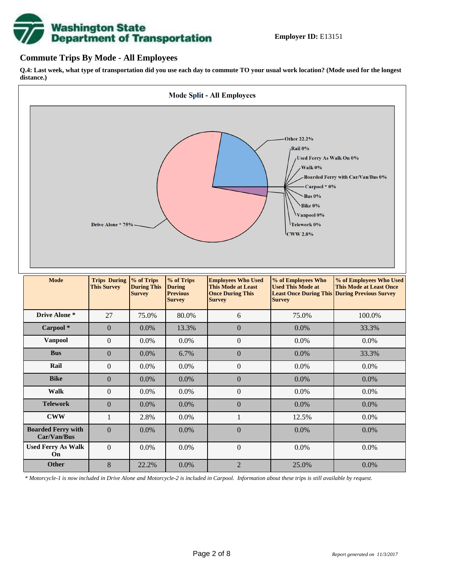

### **Commute Trips By Mode - All Employees**

**Q.4: Last week, what type of transportation did you use each day to commute TO your usual work location? (Mode used for the longest distance.)**



*\* Motorcycle-1 is now included in Drive Alone and Motorcycle-2 is included in Carpool. Information about these trips is still available by request.*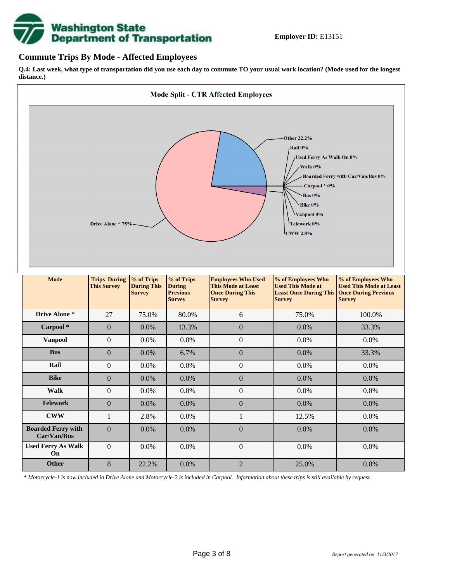

## **Commute Trips By Mode - Affected Employees**

**Q.4: Last week, what type of transportation did you use each day to commute TO your usual work location? (Mode used for the longest distance.)**



*\* Motorcycle-1 is now included in Drive Alone and Motorcycle-2 is included in Carpool. Information about these trips is still available by request.*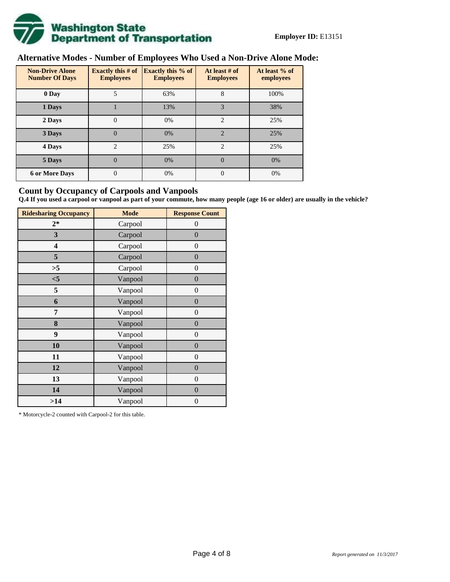

# **Alternative Modes - Number of Employees Who Used a Non-Drive Alone Mode:**

| <b>Non-Drive Alone</b><br><b>Number Of Days</b> | <b>Exactly this # of</b><br><b>Employees</b> | <b>Exactly this % of</b><br><b>Employees</b> | At least # of<br><b>Employees</b> | At least % of<br>employees |
|-------------------------------------------------|----------------------------------------------|----------------------------------------------|-----------------------------------|----------------------------|
| 0 Day                                           | 5                                            | 63%                                          | 8                                 | 100%                       |
| 1 Days                                          |                                              | 13%                                          | 3                                 | 38%                        |
| 2 Days                                          | 0                                            | 0%                                           | $\mathcal{D}_{\mathcal{L}}$       | 25%                        |
| 3 Days                                          | $\overline{0}$                               | 0%                                           | $\overline{2}$                    | 25%                        |
| 4 Days                                          | $\overline{c}$                               | 25%                                          | $\mathfrak{D}$                    | 25%                        |
| 5 Days                                          | 0                                            | 0%                                           | $\theta$                          | 0%                         |
| <b>6 or More Days</b>                           | 0                                            | 0%                                           | $\Omega$                          | 0%                         |

## **Count by Occupancy of Carpools and Vanpools**

**Q.4 If you used a carpool or vanpool as part of your commute, how many people (age 16 or older) are usually in the vehicle?**

| <b>Ridesharing Occupancy</b> | <b>Mode</b> | <b>Response Count</b> |  |  |  |
|------------------------------|-------------|-----------------------|--|--|--|
| $2*$                         | Carpool     | $\theta$              |  |  |  |
| 3                            | Carpool     | $\overline{0}$        |  |  |  |
| 4                            | Carpool     | $\boldsymbol{0}$      |  |  |  |
| 5                            | Carpool     | $\overline{0}$        |  |  |  |
| >5                           | Carpool     | $\boldsymbol{0}$      |  |  |  |
| $<$ 5                        | Vanpool     | $\overline{0}$        |  |  |  |
| 5                            | Vanpool     | $\overline{0}$        |  |  |  |
| 6                            | Vanpool     | $\boldsymbol{0}$      |  |  |  |
| 7                            | Vanpool     | $\boldsymbol{0}$      |  |  |  |
| 8                            | Vanpool     | $\overline{0}$        |  |  |  |
| 9                            | Vanpool     | $\overline{0}$        |  |  |  |
| 10                           | Vanpool     | $\overline{0}$        |  |  |  |
| 11                           | Vanpool     | $\boldsymbol{0}$      |  |  |  |
| 12                           | Vanpool     | $\boldsymbol{0}$      |  |  |  |
| 13                           | Vanpool     | $\boldsymbol{0}$      |  |  |  |
| 14                           | Vanpool     | $\overline{0}$        |  |  |  |
| >14                          | Vanpool     | $\boldsymbol{0}$      |  |  |  |

\* Motorcycle-2 counted with Carpool-2 for this table.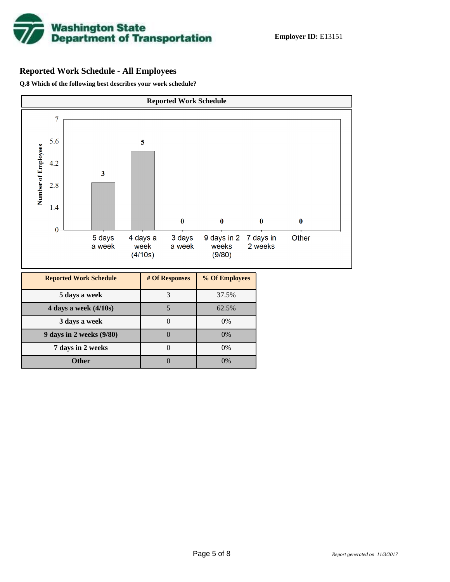

# **Reported Work Schedule - All Employees**

**Q.8 Which of the following best describes your work schedule?**

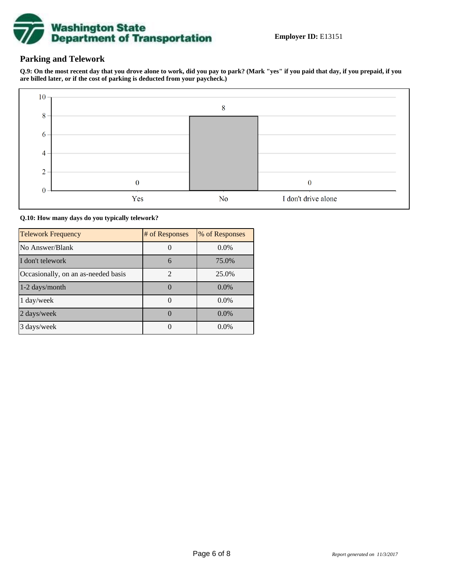

## **Parking and Telework**

**Q.9: On the most recent day that you drove alone to work, did you pay to park? (Mark "yes" if you paid that day, if you prepaid, if you are billed later, or if the cost of parking is deducted from your paycheck.)**



**Q.10: How many days do you typically telework?**

| <b>Telework Frequency</b>           | # of Responses              | % of Responses |
|-------------------------------------|-----------------------------|----------------|
| No Answer/Blank                     |                             | $0.0\%$        |
| I don't telework                    | 6                           | 75.0%          |
| Occasionally, on an as-needed basis | $\mathcal{D}_{\mathcal{A}}$ | 25.0%          |
| 1-2 days/month                      |                             | $0.0\%$        |
| 1 day/week                          |                             | $0.0\%$        |
| 2 days/week                         |                             | $0.0\%$        |
| 3 days/week                         |                             | $0.0\%$        |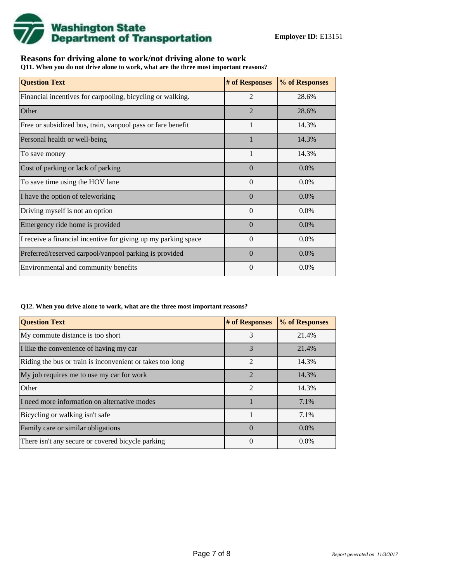

## **Reasons for driving alone to work/not driving alone to work**

**Q11. When you do not drive alone to work, what are the three most important reasons?**

| <b>Question Text</b>                                           | # of Responses | % of Responses |
|----------------------------------------------------------------|----------------|----------------|
| Financial incentives for carpooling, bicycling or walking.     | $\overline{2}$ | 28.6%          |
| Other                                                          | $\overline{2}$ | 28.6%          |
| Free or subsidized bus, train, vanpool pass or fare benefit    | $\mathbf{1}$   | 14.3%          |
| Personal health or well-being                                  |                | 14.3%          |
| To save money                                                  | 1              | 14.3%          |
| Cost of parking or lack of parking                             | $\Omega$       | $0.0\%$        |
| To save time using the HOV lane                                | $\Omega$       | $0.0\%$        |
| I have the option of teleworking                               | $\Omega$       | $0.0\%$        |
| Driving myself is not an option                                | $\Omega$       | $0.0\%$        |
| Emergency ride home is provided                                | $\Omega$       | $0.0\%$        |
| I receive a financial incentive for giving up my parking space | $\Omega$       | $0.0\%$        |
| Preferred/reserved carpool/vanpool parking is provided         | $\Omega$       | $0.0\%$        |
| Environmental and community benefits                           | $\theta$       | $0.0\%$        |

### **Q12. When you drive alone to work, what are the three most important reasons?**

| <b>Question Text</b>                                      | # of Responses | % of Responses |
|-----------------------------------------------------------|----------------|----------------|
| My commute distance is too short                          | 3              | 21.4%          |
| I like the convenience of having my car                   | 3              | 21.4%          |
| Riding the bus or train is inconvenient or takes too long | $\mathfrak{D}$ | 14.3%          |
| My job requires me to use my car for work                 | $\mathfrak{D}$ | 14.3%          |
| Other                                                     | $\mathfrak{D}$ | 14.3%          |
| I need more information on alternative modes              |                | 7.1%           |
| Bicycling or walking isn't safe                           |                | 7.1%           |
| Family care or similar obligations                        | $\Omega$       | $0.0\%$        |
| There isn't any secure or covered bicycle parking         | $\theta$       | $0.0\%$        |